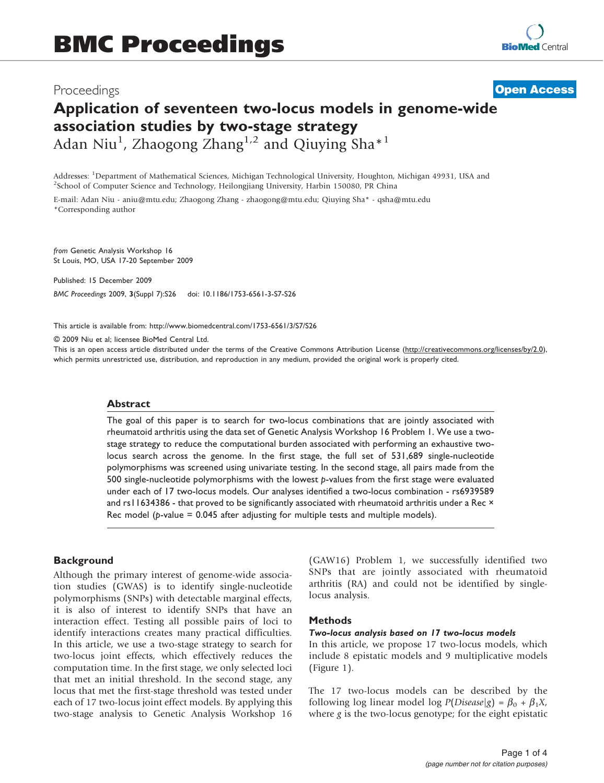# Proceedings

# Application of seventeen two-locus models in genome-wide association studies by two-stage strategy Adan Niu<sup>1</sup>, Zhaogong Zhang<sup>1,2</sup> and Qiuying Sha<sup>\*1</sup> **[Open Access](http://www.biomedcentral.com/info/about/charter/)**

Addresses: <sup>1</sup>Department of Mathematical Sciences, Michigan Technological University, Houghton, Michigan 49931, USA and<br><sup>2</sup>School of Computer Science and Technology, Heilongjiang University, Harbin 150080, PP China  $3$ School of Computer Science and Technology, Heilongjiang University, Harbin 150080, PR China

E-mail: Adan Niu - [aniu@mtu.edu;](mailto:aniu@mtu.edu) Zhaogong Zhang - [zhaogong@mtu.edu;](mailto:zhaogong@mtu.edu) Qiuying Sha\* - [qsha@mtu.edu](mailto:qsha@mtu.edu) \*Corresponding author

from Genetic Analysis Workshop 16 St Louis, MO, USA 17-20 September 2009

Published: 15 December 2009 BMC Proceedings 2009, 3(Suppl 7):S26 doi: 10.1186/1753-6561-3-S7-S26

This article is available from: http://www.biomedcentral.com/1753-6561/3/S7/S26

© 2009 Niu et al; licensee BioMed Central Ltd.

This is an open access article distributed under the terms of the Creative Commons Attribution License [\(http://creativecommons.org/licenses/by/2.0\)](http://creativecommons.org/licenses/by/2.0), which permits unrestricted use, distribution, and reproduction in any medium, provided the original work is properly cited.

#### Abstract

The goal of this paper is to search for two-locus combinations that are jointly associated with rheumatoid arthritis using the data set of Genetic Analysis Workshop 16 Problem 1. We use a twostage strategy to reduce the computational burden associated with performing an exhaustive twolocus search across the genome. In the first stage, the full set of 531,689 single-nucleotide polymorphisms was screened using univariate testing. In the second stage, all pairs made from the 500 single-nucleotide polymorphisms with the lowest  $p$ -values from the first stage were evaluated under each of 17 two-locus models. Our analyses identified a two-locus combination - rs6939589 and rs11634386 - that proved to be significantly associated with rheumatoid arthritis under a Rec × Rec model ( $p$ -value = 0.045 after adjusting for multiple tests and multiple models).

### **Background**

Although the primary interest of genome-wide association studies (GWAS) is to identify single-nucleotide polymorphisms (SNPs) with detectable marginal effects, it is also of interest to identify SNPs that have an interaction effect. Testing all possible pairs of loci to identify interactions creates many practical difficulties. In this article, we use a two-stage strategy to search for two-locus joint effects, which effectively reduces the computation time. In the first stage, we only selected loci that met an initial threshold. In the second stage, any locus that met the first-stage threshold was tested under each of 17 two-locus joint effect models. By applying this two-stage analysis to Genetic Analysis Workshop 16 (GAW16) Problem 1, we successfully identified two SNPs that are jointly associated with rheumatoid arthritis (RA) and could not be identified by singlelocus analysis.

## Methods

# Two-locus analysis based on 17 two-locus models

In this article, we propose 17 two-locus models, which include 8 epistatic models and 9 multiplicative models [\(Figure 1](#page-1-0)).

The 17 two-locus models can be described by the following log linear model log  $P(Disease|g) = \beta_0 + \beta_1 X$ , where  $g$  is the two-locus genotype; for the eight epistatic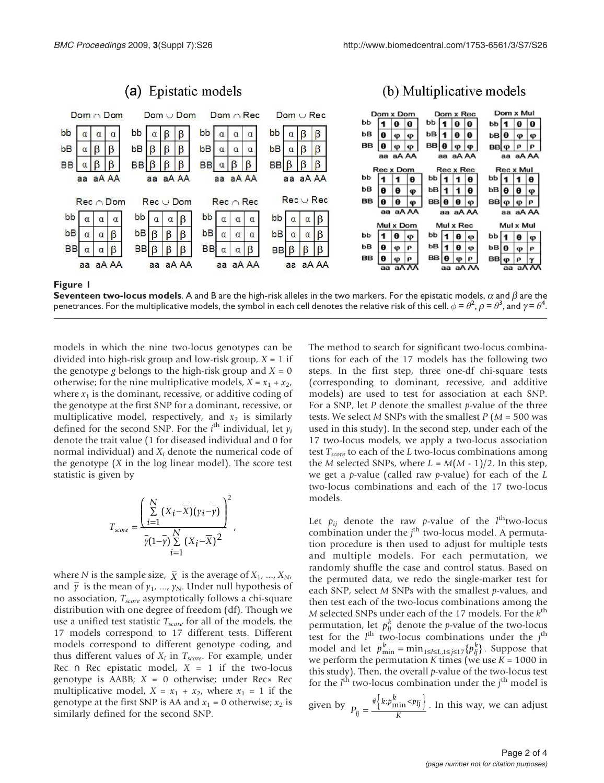<span id="page-1-0"></span>

**Seventeen two-locus models.** A and B are the high-risk alleles in the two markers. For the epistatic models,  $\alpha$  and  $\beta$  are the penetrances. For the multiplicative models, the symbol in each cell denotes the relative risk of this cell.  $\phi = \theta^2$ ,  $\rho = \theta^3$ , and  $\gamma = \theta^4$ .

models in which the nine two-locus genotypes can be divided into high-risk group and low-risk group,  $X = 1$  if the genotype g belongs to the high-risk group and  $X = 0$ otherwise; for the nine multiplicative models,  $X = x_1 + x_2$ , where  $x_1$  is the dominant, recessive, or additive coding of the genotype at the first SNP for a dominant, recessive, or multiplicative model, respectively, and  $x_2$  is similarly defined for the second SNP. For the *i*<sup>th</sup> individual, let  $\gamma$ <sub>i</sub> denote the trait value (1 for diseased individual and 0 for normal individual) and  $X_i$  denote the numerical code of the genotype  $(X$  in the log linear model). The score test statistic is given by

$$
T_{score} = \frac{\left(\sum\limits_{i=1}^{N} (X_i - \overline{X})(\gamma_i - \overline{\gamma})\right)^2}{\overline{\gamma(1-\gamma)} \sum\limits_{i=1}^{N} (X_i - \overline{X})^2},
$$

where N is the sample size,  $\bar{X}$  is the average of  $X_1$ , ...,  $X_N$ , and  $\overline{\gamma}$  is the mean of  $\gamma_1$ , ...,  $\gamma_N$ . Under null hypothesis of no association, T<sub>score</sub> asymptotically follows a chi-square distribution with one degree of freedom (df). Though we use a unified test statistic  $T_{score}$  for all of the models, the 17 models correspond to 17 different tests. Different models correspond to different genotype coding, and thus different values of  $X_i$  in  $T_{score}$ . For example, under Rec ∩ Rec epistatic model,  $X = 1$  if the two-locus genotype is AABB;  $X = 0$  otherwise; under Rec $\times$  Rec multiplicative model,  $X = x_1 + x_2$ , where  $x_1 = 1$  if the genotype at the first SNP is AA and  $x_1 = 0$  otherwise;  $x_2$  is similarly defined for the second SNP.

The method to search for significant two-locus combinations for each of the 17 models has the following two steps. In the first step, three one-df chi-square tests (corresponding to dominant, recessive, and additive models) are used to test for association at each SNP. For a SNP, let  $P$  denote the smallest  $p$ -value of the three tests. We select M SNPs with the smallest  $P(M = 500 \text{ was})$ used in this study). In the second step, under each of the 17 two-locus models, we apply a two-locus association test  $T_{score}$  to each of the L two-locus combinations among the M selected SNPs, where  $L = M(M - 1)/2$ . In this step, we get a p-value (called raw p-value) for each of the  $L$ two-locus combinations and each of the 17 two-locus models.

Let  $p_{ij}$  denote the raw *p*-value of the *l*<sup>th</sup>two-locus combination under the  $j<sup>th</sup>$  two-locus model. A permutation procedure is then used to adjust for multiple tests and multiple models. For each permutation, we randomly shuffle the case and control status. Based on the permuted data, we redo the single-marker test for each SNP, select M SNPs with the smallest p-values, and then test each of the two-locus combinations among the M selected SNPs under each of the 17 models. For the  $k^{\text{th}}$ permutation, let  $p_{ij}^k$  denote the *p*-value of the two-locus test for the  $l^{\text{th}}$  two-locus combinations under the  $j^{\text{th}}$ model and let  $p_{\min}^k = \min_{1 \le l \le L, 1 \le j \le 17} \{p_{lj}^k\}$ . Suppose that we perform the permutation K times (we use  $K = 1000$  in this study). Then, the overall  $p$ -value of the two-locus test for the  $l^{\text{th}}$  two-locus combination under the  $j^{\text{th}}$  model is

given by  $P_{lj} = \frac{\sqrt[k]{k : p_{\min}^k \le p_{lj}}}{K}$  $=\frac{1}{K}$  ${\pi \left\{k:\rho_{\min}^k \leq p_{ij}\right\}}$ . In this way, we can adjust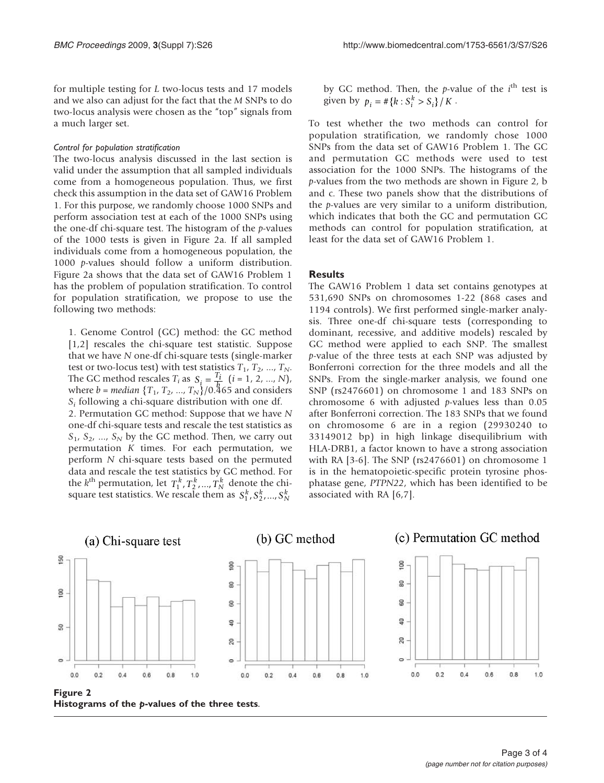for multiple testing for L two-locus tests and 17 models and we also can adjust for the fact that the M SNPs to do two-locus analysis were chosen as the "top" signals from a much larger set.

#### Control for population stratification

The two-locus analysis discussed in the last section is valid under the assumption that all sampled individuals come from a homogeneous population. Thus, we first check this assumption in the data set of GAW16 Problem 1. For this purpose, we randomly choose 1000 SNPs and perform association test at each of the 1000 SNPs using the one-df chi-square test. The histogram of the  $p$ -values of the 1000 tests is given in Figure 2a. If all sampled individuals come from a homogeneous population, the 1000 p-values should follow a uniform distribution. Figure 2a shows that the data set of GAW16 Problem 1 has the problem of population stratification. To control for population stratification, we propose to use the following two methods:

1. Genome Control (GC) method: the GC method [[1](#page-3-0),[2](#page-3-0)] rescales the chi-square test statistic. Suppose that we have N one-df chi-square tests (single-marker test or two-locus test) with test statistics  $T_1$ ,  $T_2$ , ...,  $T_N$ . The GC method rescales  $T_i$  as  $S_i = \frac{T_i}{b}$   $(i = 1, 2, ..., N)$ , where  $b = median \{T_1, T_2, ..., T_N\}/0.465$  and considers  $S_i$  following a chi-square distribution with one df. 2. Permutation GC method: Suppose that we have N one-df chi-square tests and rescale the test statistics as  $S_1$ ,  $S_2$ , ...,  $S_N$  by the GC method. Then, we carry out permutation K times. For each permutation, we perform N chi-square tests based on the permuted data and rescale the test statistics by GC method. For the  $k^{\text{th}}$  permutation, let  $T_1^k, T_2^k, ..., T_N^k$  denote the chisquare test statistics. We rescale them as  $S_1^k, S_2^k, ..., S_N^k$ 

by GC method. Then, the p-value of the  $i^{\text{th}}$  test is given by  $p_i = # \{k : S_i^k > S_i\} / K$ .

To test whether the two methods can control for population stratification, we randomly chose 1000 SNPs from the data set of GAW16 Problem 1. The GC and permutation GC methods were used to test association for the 1000 SNPs. The histograms of the p-values from the two methods are shown in Figure 2, b and c. These two panels show that the distributions of the p-values are very similar to a uniform distribution, which indicates that both the GC and permutation GC methods can control for population stratification, at least for the data set of GAW16 Problem 1.

### **Results**

The GAW16 Problem 1 data set contains genotypes at 531,690 SNPs on chromosomes 1-22 (868 cases and 1194 controls). We first performed single-marker analysis. Three one-df chi-square tests (corresponding to dominant, recessive, and additive models) rescaled by GC method were applied to each SNP. The smallest p-value of the three tests at each SNP was adjusted by Bonferroni correction for the three models and all the SNPs. From the single-marker analysis, we found one SNP (rs2476601) on chromosome 1 and 183 SNPs on chromosome 6 with adjusted  $p$ -values less than 0.05 after Bonferroni correction. The 183 SNPs that we found on chromosome 6 are in a region (29930240 to 33149012 bp) in high linkage disequilibrium with HLA-DRB1, a factor known to have a strong association with RA [\[3-6](#page-3-0)]. The SNP (rs2476601) on chromosome 1 is in the hematopoietic-specific protein tyrosine phosphatase gene, PTPN22, which has been identified to be associated with RA [[6](#page-3-0),[7](#page-3-0)].



Figure 2 Histograms of the p-values of the three tests.